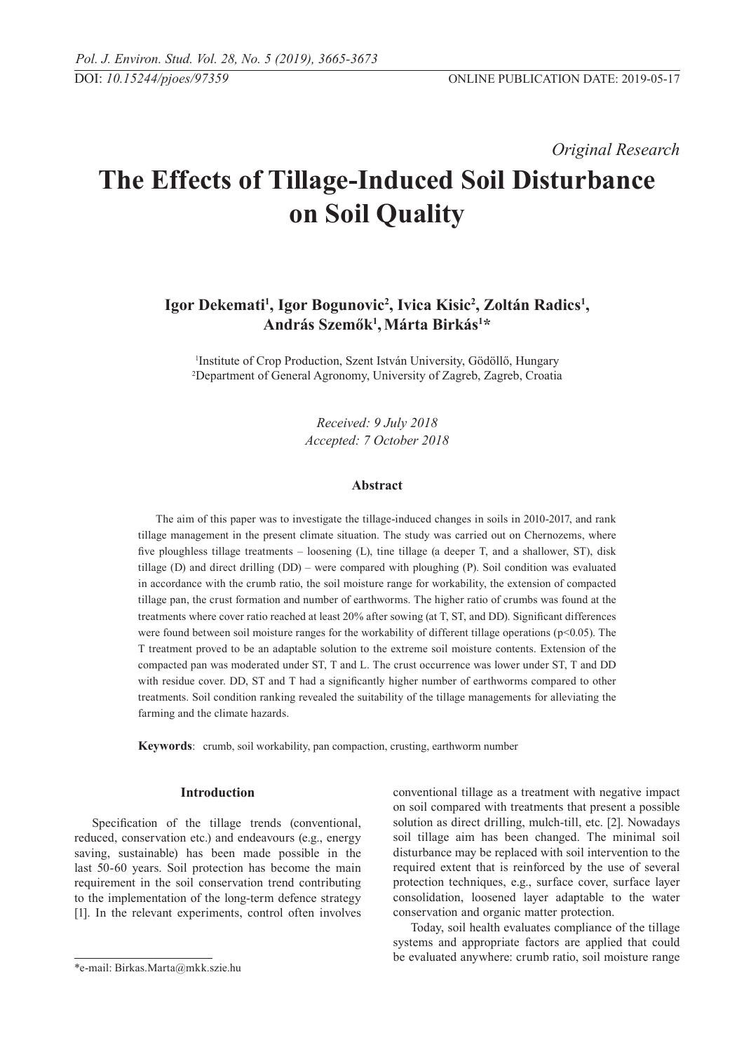*Original Research* 

# **The Effects of Tillage-Induced Soil Disturbance on Soil Quality**

# Igor Dekemati<sup>1</sup>, Igor Bogunovic<sup>2</sup>, Ivica Kisic<sup>2</sup>, Zoltán Radics<sup>1</sup>,  $\mathbf{Andr}$ ás Szemők<sup>1</sup>, $\mathbf{Márta Birkás}^{1\ast}$

1 Institute of Crop Production, Szent István University, Gödöllő, Hungary 2 Department of General Agronomy, University of Zagreb, Zagreb, Croatia

> *Received: 9 July 2018 Accepted: 7 October 2018*

# **Abstract**

The aim of this paper was to investigate the tillage-induced changes in soils in 2010-2017, and rank tillage management in the present climate situation. The study was carried out on Chernozems, where five ploughless tillage treatments – loosening (L), tine tillage (a deeper T, and a shallower, ST), disk tillage (D) and direct drilling (DD) – were compared with ploughing (P). Soil condition was evaluated in accordance with the crumb ratio, the soil moisture range for workability, the extension of compacted tillage pan, the crust formation and number of earthworms. The higher ratio of crumbs was found at the treatments where cover ratio reached at least 20% after sowing (at T, ST, and DD). Significant differences were found between soil moisture ranges for the workability of different tillage operations (p<0.05). The T treatment proved to be an adaptable solution to the extreme soil moisture contents. Extension of the compacted pan was moderated under ST, T and L. The crust occurrence was lower under ST, T and DD with residue cover. DD, ST and T had a significantly higher number of earthworms compared to other treatments. Soil condition ranking revealed the suitability of the tillage managements for alleviating the farming and the climate hazards.

**Keywords**: crumb, soil workability, pan compaction, crusting, earthworm number

# **Introduction**

Specification of the tillage trends (conventional, reduced, conservation etc.) and endeavours (e.g., energy saving, sustainable) has been made possible in the last 50-60 years. Soil protection has become the main requirement in the soil conservation trend contributing to the implementation of the long-term defence strategy [1]. In the relevant experiments, control often involves conventional tillage as a treatment with negative impact on soil compared with treatments that present a possible solution as direct drilling, mulch-till, etc. [2]. Nowadays soil tillage aim has been changed. The minimal soil disturbance may be replaced with soil intervention to the required extent that is reinforced by the use of several protection techniques, e.g., surface cover, surface layer consolidation, loosened layer adaptable to the water conservation and organic matter protection.

Today, soil health evaluates compliance of the tillage systems and appropriate factors are applied that could be evaluated anywhere: crumb ratio, soil moisture range

<sup>\*</sup>e-mail: Birkas.Marta@mkk.szie.hu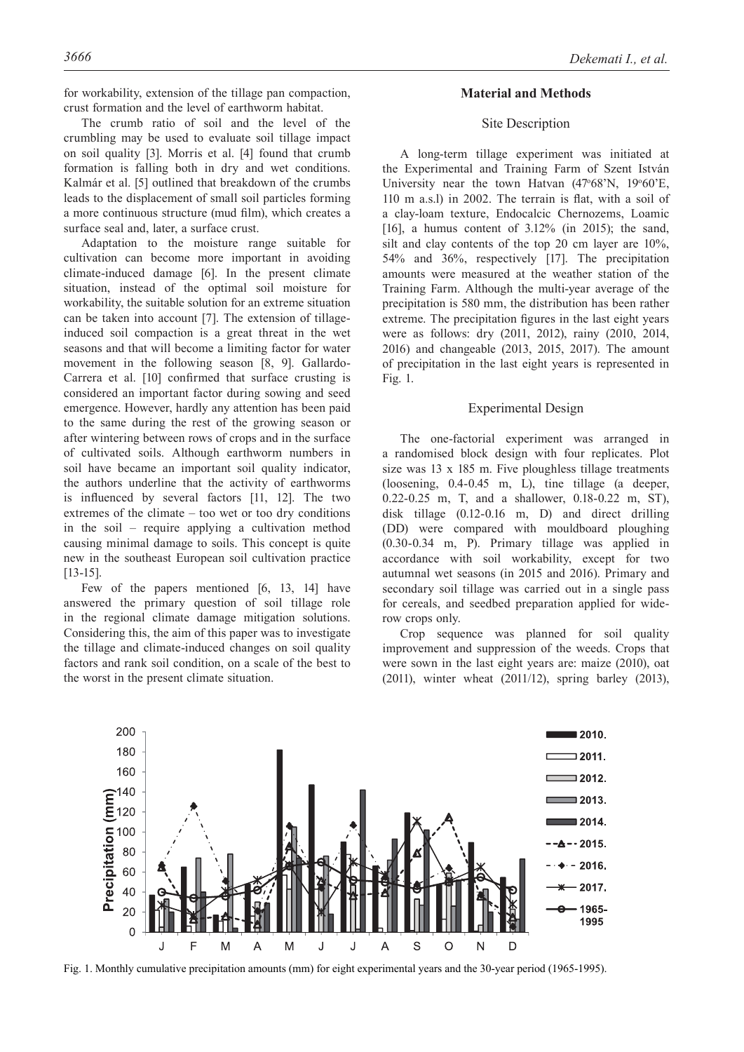for workability, extension of the tillage pan compaction, crust formation and the level of earthworm habitat.

The crumb ratio of soil and the level of the crumbling may be used to evaluate soil tillage impact on soil quality [3]. Morris et al. [4] found that crumb formation is falling both in dry and wet conditions. Kalmár et al. [5] outlined that breakdown of the crumbs leads to the displacement of small soil particles forming a more continuous structure (mud film), which creates a surface seal and, later, a surface crust.

Adaptation to the moisture range suitable for cultivation can become more important in avoiding climate-induced damage [6]. In the present climate situation, instead of the optimal soil moisture for workability, the suitable solution for an extreme situation can be taken into account [7]. The extension of tillageinduced soil compaction is a great threat in the wet seasons and that will become a limiting factor for water movement in the following season [8, 9]. Gallardo-Carrera et al. [10] confirmed that surface crusting is considered an important factor during sowing and seed emergence. However, hardly any attention has been paid to the same during the rest of the growing season or after wintering between rows of crops and in the surface of cultivated soils. Although earthworm numbers in soil have became an important soil quality indicator, the authors underline that the activity of earthworms is influenced by several factors [11, 12]. The two extremes of the climate – too wet or too dry conditions in the soil – require applying a cultivation method causing minimal damage to soils. This concept is quite new in the southeast European soil cultivation practice [13-15].

Few of the papers mentioned [6, 13, 14] have answered the primary question of soil tillage role in the regional climate damage mitigation solutions. Considering this, the aim of this paper was to investigate the tillage and climate-induced changes on soil quality factors and rank soil condition, on a scale of the best to the worst in the present climate situation.

# **Material and Methods**

# Site Description

A long-term tillage experiment was initiated at the Experimental and Training Farm of Szent István University near the town Hatvan (47°68'N, 19°60'E, 110 m a.s.l) in 2002. The terrain is flat, with a soil of a clay-loam texture, Endocalcic Chernozems, Loamic [16], a humus content of 3.12% (in 2015); the sand, silt and clay contents of the top 20 cm layer are 10%, 54% and 36%, respectively [17]. The precipitation amounts were measured at the weather station of the Training Farm. Although the multi-year average of the precipitation is 580 mm, the distribution has been rather extreme. The precipitation figures in the last eight years were as follows: dry (2011, 2012), rainy (2010, 2014, 2016) and changeable (2013, 2015, 2017). The amount of precipitation in the last eight years is represented in Fig. 1.

### Experimental Design

The one-factorial experiment was arranged in a randomised block design with four replicates. Plot size was 13 x 185 m. Five ploughless tillage treatments (loosening, 0.4-0.45 m, L), tine tillage (a deeper, 0.22-0.25 m, T, and a shallower, 0.18-0.22 m, ST), disk tillage (0.12-0.16 m, D) and direct drilling (DD) were compared with mouldboard ploughing (0.30-0.34 m, P). Primary tillage was applied in accordance with soil workability, except for two autumnal wet seasons (in 2015 and 2016). Primary and secondary soil tillage was carried out in a single pass for cereals, and seedbed preparation applied for widerow crops only.

Crop sequence was planned for soil quality improvement and suppression of the weeds. Crops that were sown in the last eight years are: maize (2010), oat (2011), winter wheat (2011/12), spring barley (2013),



Fig. 1. Monthly cumulative precipitation amounts (mm) for eight experimental years and the 30-year period (1965-1995).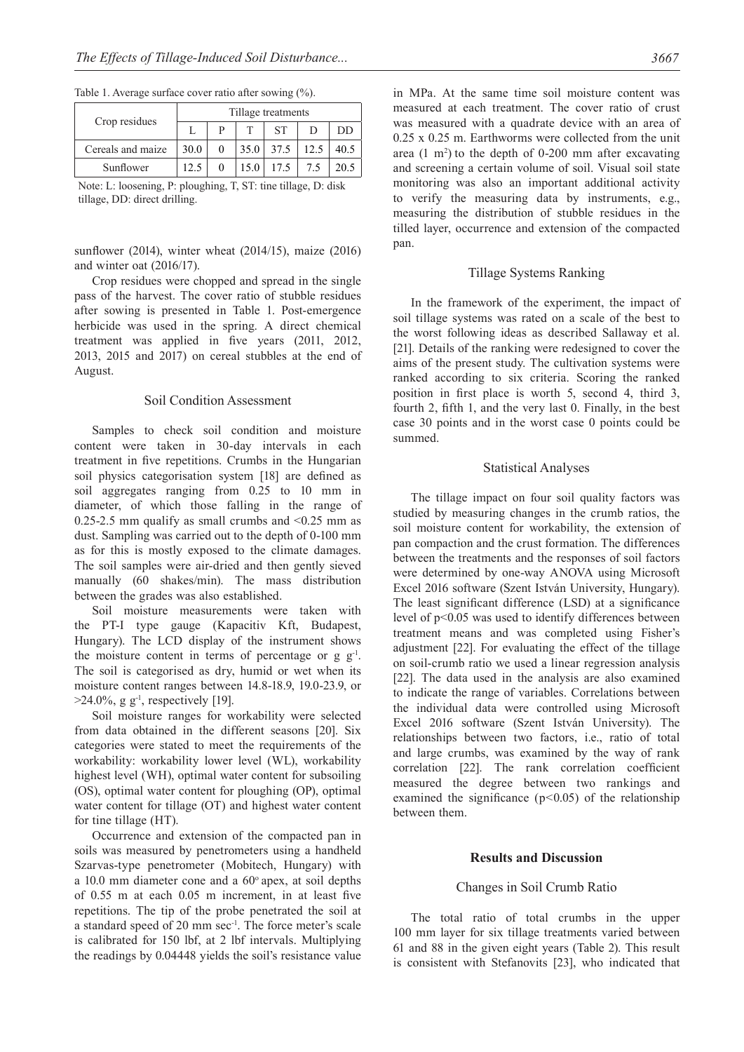| Crop residues     | Tillage treatments |  |      |           |      |      |  |  |
|-------------------|--------------------|--|------|-----------|------|------|--|--|
|                   |                    |  |      | <b>ST</b> |      | DD   |  |  |
| Cereals and maize | 30.0               |  | 35.0 | 37.5      | 12.5 | 40.5 |  |  |
| Sunflower         | 12.5               |  | 15.0 | 17.5      | 7.5  | 20.5 |  |  |

Table 1. Average surface cover ratio after sowing (%).

Note: L: loosening, P: ploughing, T, ST: tine tillage, D: disk tillage, DD: direct drilling.

sunflower (2014), winter wheat (2014/15), maize (2016) and winter oat (2016/17).

Crop residues were chopped and spread in the single pass of the harvest. The cover ratio of stubble residues after sowing is presented in Table 1. Post-emergence herbicide was used in the spring. A direct chemical treatment was applied in five years (2011, 2012, 2013, 2015 and 2017) on cereal stubbles at the end of August.

#### Soil Condition Assessment

Samples to check soil condition and moisture content were taken in 30-day intervals in each treatment in five repetitions. Crumbs in the Hungarian soil physics categorisation system [18] are defined as soil aggregates ranging from 0.25 to 10 mm in diameter, of which those falling in the range of 0.25-2.5 mm qualify as small crumbs and  $\leq$ 0.25 mm as dust. Sampling was carried out to the depth of 0-100 mm as for this is mostly exposed to the climate damages. The soil samples were air-dried and then gently sieved manually (60 shakes/min). The mass distribution between the grades was also established.

Soil moisture measurements were taken with the PT-I type gauge (Kapacitiv Kft, Budapest, Hungary). The LCD display of the instrument shows the moisture content in terms of percentage or  $g g^{-1}$ . The soil is categorised as dry, humid or wet when its moisture content ranges between 14.8-18.9, 19.0-23.9, or  $>24.0\%$ , g g<sup>-1</sup>, respectively [19].

Soil moisture ranges for workability were selected from data obtained in the different seasons [20]. Six categories were stated to meet the requirements of the workability: workability lower level (WL), workability highest level (WH), optimal water content for subsoiling (OS), optimal water content for ploughing (OP), optimal water content for tillage (OT) and highest water content for tine tillage (HT).

Occurrence and extension of the compacted pan in soils was measured by penetrometers using a handheld Szarvas-type penetrometer (Mobitech, Hungary) with a 10.0 mm diameter cone and a  $60^{\circ}$  apex, at soil depths of 0.55 m at each 0.05 m increment, in at least five repetitions. The tip of the probe penetrated the soil at a standard speed of 20 mm sec-1. The force meter's scale is calibrated for 150 lbf, at 2 lbf intervals. Multiplying the readings by 0.04448 yields the soil's resistance value in MPa. At the same time soil moisture content was measured at each treatment. The cover ratio of crust was measured with a quadrate device with an area of 0.25 x 0.25 m. Earthworms were collected from the unit area  $(1 \text{ m}^2)$  to the depth of 0-200 mm after excavating and screening a certain volume of soil. Visual soil state monitoring was also an important additional activity to verify the measuring data by instruments, e.g., measuring the distribution of stubble residues in the tilled layer, occurrence and extension of the compacted pan.

### Tillage Systems Ranking

In the framework of the experiment, the impact of soil tillage systems was rated on a scale of the best to the worst following ideas as described Sallaway et al. [21]. Details of the ranking were redesigned to cover the aims of the present study. The cultivation systems were ranked according to six criteria. Scoring the ranked position in first place is worth 5, second 4, third 3, fourth 2, fifth 1, and the very last 0. Finally, in the best case 30 points and in the worst case 0 points could be summed.

#### Statistical Analyses

The tillage impact on four soil quality factors was studied by measuring changes in the crumb ratios, the soil moisture content for workability, the extension of pan compaction and the crust formation. The differences between the treatments and the responses of soil factors were determined by one-way ANOVA using Microsoft Excel 2016 software (Szent István University, Hungary). The least significant difference (LSD) at a significance level of p<0.05 was used to identify differences between treatment means and was completed using Fisher's adjustment [22]. For evaluating the effect of the tillage on soil-crumb ratio we used a linear regression analysis [22]. The data used in the analysis are also examined to indicate the range of variables. Correlations between the individual data were controlled using Microsoft Excel 2016 software (Szent István University). The relationships between two factors, i.e., ratio of total and large crumbs, was examined by the way of rank correlation [22]. The rank correlation coefficient measured the degree between two rankings and examined the significance (p*<*0.05) of the relationship between them.

#### **Results and Discussion**

#### Changes in Soil Crumb Ratio

The total ratio of total crumbs in the upper 100 mm layer for six tillage treatments varied between 61 and 88 in the given eight years (Table 2). This result is consistent with Stefanovits [23], who indicated that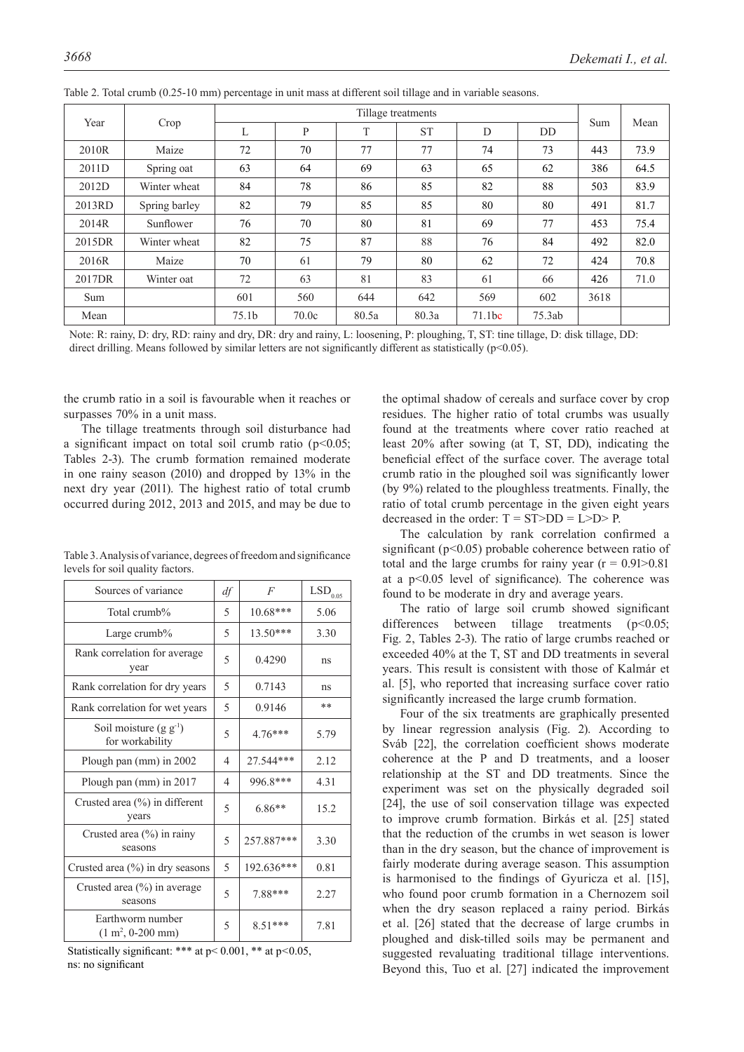|                   | Year<br>Crop  | Tillage treatments |       |       |           |                    |           |      |      |
|-------------------|---------------|--------------------|-------|-------|-----------|--------------------|-----------|------|------|
|                   |               | L                  | P     | T     | <b>ST</b> | D                  | <b>DD</b> | Sum  | Mean |
| 2010 <sub>R</sub> | Maize         | 72                 | 70    | 77    | 77        | 74                 | 73        | 443  | 73.9 |
| 2011D             | Spring oat    | 63                 | 64    | 69    | 63        | 65                 | 62        | 386  | 64.5 |
| 2012D             | Winter wheat  | 84                 | 78    | 86    | 85        | 82                 | 88        | 503  | 83.9 |
| 2013RD            | Spring barley | 82                 | 79    | 85    | 85        | 80                 | 80        | 491  | 81.7 |
| 2014R             | Sunflower     | 76                 | 70    | 80    | 81        | 69                 | 77        | 453  | 75.4 |
| 2015DR            | Winter wheat  | 82                 | 75    | 87    | 88        | 76                 | 84        | 492  | 82.0 |
| 2016R             | Maize         | 70                 | 61    | 79    | 80        | 62                 | 72        | 424  | 70.8 |
| 2017DR            | Winter oat    | 72                 | 63    | 81    | 83        | 61                 | 66        | 426  | 71.0 |
| Sum               |               | 601                | 560   | 644   | 642       | 569                | 602       | 3618 |      |
| Mean              |               | 75.1 <sub>b</sub>  | 70.0c | 80.5a | 80.3a     | 71.1 <sub>bc</sub> | 75.3ab    |      |      |

Table 2. Total crumb (0.25-10 mm) percentage in unit mass at different soil tillage and in variable seasons.

Note: R: rainy, D: dry, RD: rainy and dry, DR: dry and rainy, L: loosening, P: ploughing, T, ST: tine tillage, D: disk tillage, DD: direct drilling. Means followed by similar letters are not significantly different as statistically ( $p$ <0.05).

the crumb ratio in a soil is favourable when it reaches or surpasses 70% in a unit mass.

The tillage treatments through soil disturbance had a significant impact on total soil crumb ratio  $(p<0.05;$ Tables 2-3). The crumb formation remained moderate in one rainy season (2010) and dropped by 13% in the next dry year (2011). The highest ratio of total crumb occurred during 2012, 2013 and 2015, and may be due to

|                                  | Table 3. Analysis of variance, degrees of freedom and significance |
|----------------------------------|--------------------------------------------------------------------|
| levels for soil quality factors. |                                                                    |

| Sources of variance                                       | df             | F          | $\mathrm{LSD}_{0.05}$ |
|-----------------------------------------------------------|----------------|------------|-----------------------|
| Total crumb%                                              | 5              | $10.68***$ | 5.06                  |
| Large crumb $%$                                           | 5              | $13.50***$ | 3.30                  |
| Rank correlation for average<br>year                      | 5              | 0.4290     | ns                    |
| Rank correlation for dry years                            | 5              | 0.7143     | ns                    |
| Rank correlation for wet years                            | 5              | 0.9146     | **                    |
| Soil moisture $(g g^{-1})$<br>for workability             | 5              | $4.76***$  | 5.79                  |
| Plough pan (mm) in 2002                                   | $\overline{4}$ | 27.544***  | 2.12                  |
| Plough pan (mm) in 2017                                   | $\overline{4}$ | 996.8***   | 4.31                  |
| Crusted area $(\% )$ in different<br>years                | 5              | $6.86**$   | 15.2                  |
| Crusted area $(\%)$ in rainy<br>seasons                   | 5              | 257.887*** | 3.30                  |
| Crusted area $(\%)$ in dry seasons                        | 5              | 192.636*** | 0.81                  |
| Crusted area $(\% )$ in average<br>seasons                | 5              | 7.88***    | 2.27                  |
| Earthworm number<br>$(1 \text{ m}^2, 0 - 200 \text{ mm})$ | 5              | $8.51***$  | 7.81                  |

Statistically significant: \*\*\* at p< 0.001, \*\* at p*<*0.05, ns: no significant

the optimal shadow of cereals and surface cover by crop residues. The higher ratio of total crumbs was usually found at the treatments where cover ratio reached at least 20% after sowing (at T, ST, DD), indicating the beneficial effect of the surface cover. The average total crumb ratio in the ploughed soil was significantly lower (by 9%) related to the ploughless treatments. Finally, the ratio of total crumb percentage in the given eight years decreased in the order:  $T = ST>DD = L>D> P$ .

The calculation by rank correlation confirmed a significant ( $p<0.05$ ) probable coherence between ratio of total and the large crumbs for rainy year  $(r = 0.91 > 0.81)$ at a p<0.05 level of significance). The coherence was found to be moderate in dry and average years.

The ratio of large soil crumb showed significant differences between tillage treatments  $(p<0.05$ ; Fig. 2, Tables 2-3). The ratio of large crumbs reached or exceeded 40% at the T, ST and DD treatments in several years. This result is consistent with those of Kalmár et al. [5], who reported that increasing surface cover ratio significantly increased the large crumb formation.

Four of the six treatments are graphically presented by linear regression analysis (Fig. 2). According to Sváb [22], the correlation coefficient shows moderate coherence at the P and D treatments, and a looser relationship at the ST and DD treatments. Since the experiment was set on the physically degraded soil [24], the use of soil conservation tillage was expected to improve crumb formation. Birkás et al. [25] stated that the reduction of the crumbs in wet season is lower than in the dry season, but the chance of improvement is fairly moderate during average season. This assumption is harmonised to the findings of Gyuricza et al. [15], who found poor crumb formation in a Chernozem soil when the dry season replaced a rainy period. Birkás et al. [26] stated that the decrease of large crumbs in ploughed and disk-tilled soils may be permanent and suggested revaluating traditional tillage interventions. Beyond this, Tuo et al. [27] indicated the improvement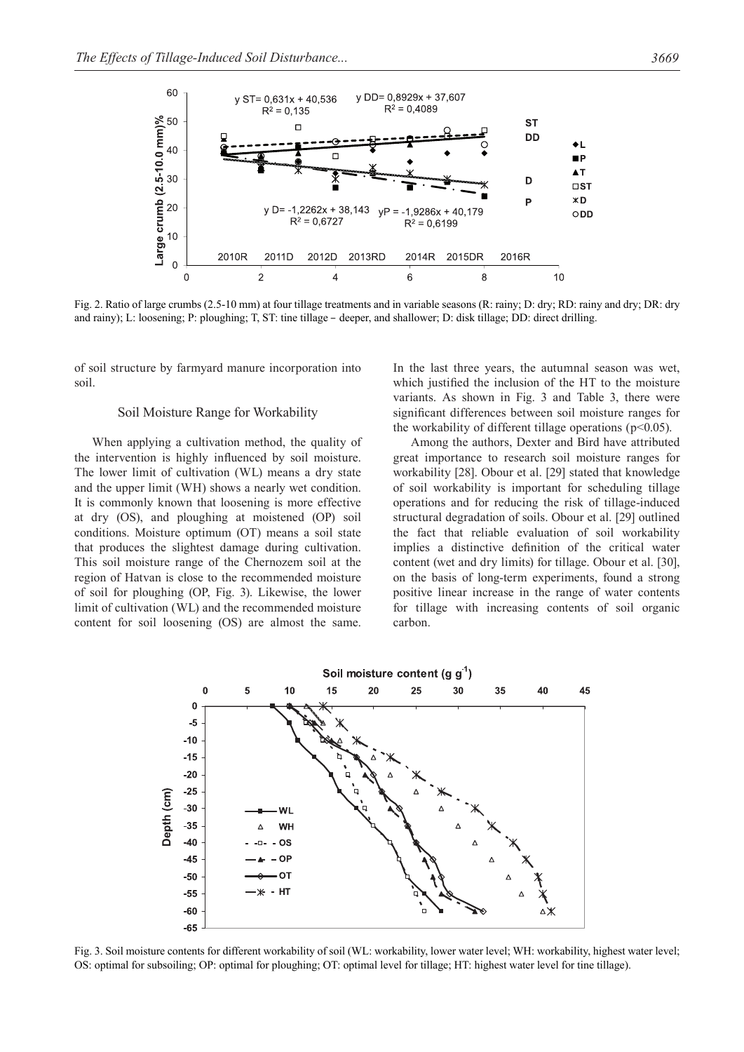

Fig. 2. Ratio of large crumbs (2.5-10 mm) at four tillage treatments and in variable seasons (R: rainy; D: dry; RD: rainy and dry; DR: dry and rainy); L: loosening; P: ploughing; T, ST: tine tillage – deeper, and shallower; D: disk tillage; DD: direct drilling.

of soil structure by farmyard manure incorporation into soil.

#### Soil Moisture Range for Workability

When applying a cultivation method, the quality of the intervention is highly influenced by soil moisture. The lower limit of cultivation (WL) means a dry state and the upper limit (WH) shows a nearly wet condition. It is commonly known that loosening is more effective at dry (OS), and ploughing at moistened (OP) soil conditions. Moisture optimum (OT) means a soil state that produces the slightest damage during cultivation. This soil moisture range of the Chernozem soil at the region of Hatvan is close to the recommended moisture of soil for ploughing (OP, Fig. 3). Likewise, the lower limit of cultivation (WL) and the recommended moisture content for soil loosening (OS) are almost the same.

In the last three years, the autumnal season was wet, which justified the inclusion of the HT to the moisture variants. As shown in Fig. 3 and Table 3, there were significant differences between soil moisture ranges for the workability of different tillage operations ( $p<0.05$ ).

Among the authors, Dexter and Bird have attributed great importance to research soil moisture ranges for workability [28]. Obour et al. [29] stated that knowledge of soil workability is important for scheduling tillage operations and for reducing the risk of tillage-induced structural degradation of soils. Obour et al. [29] outlined the fact that reliable evaluation of soil workability implies a distinctive definition of the critical water content (wet and dry limits) for tillage. Obour et al. [30], on the basis of long-term experiments, found a strong positive linear increase in the range of water contents for tillage with increasing contents of soil organic carbon.



Fig. 3. Soil moisture contents for different workability of soil (WL: workability, lower water level; WH: workability, highest water level; OS: optimal for subsoiling; OP: optimal for ploughing; OT: optimal level for tillage; HT: highest water level for tine tillage).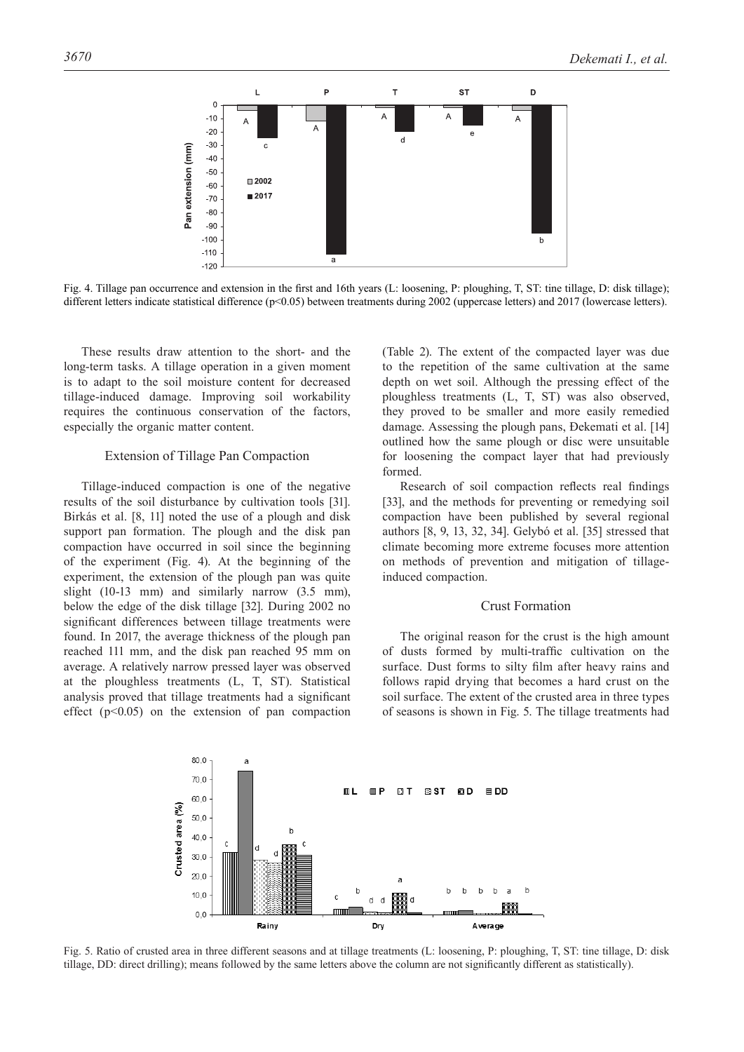

Fig. 4. Tillage pan occurrence and extension in the first and 16th years (L: loosening, P: ploughing, T, ST: tine tillage, D: disk tillage); different letters indicate statistical difference (p<0.05) between treatments during 2002 (uppercase letters) and 2017 (lowercase letters).

These results draw attention to the short- and the long-term tasks. A tillage operation in a given moment is to adapt to the soil moisture content for decreased tillage-induced damage. Improving soil workability requires the continuous conservation of the factors, especially the organic matter content.

# Extension of Tillage Pan Compaction

Tillage-induced compaction is one of the negative results of the soil disturbance by cultivation tools [31]. Birkás et al. [8, 11] noted the use of a plough and disk support pan formation. The plough and the disk pan compaction have occurred in soil since the beginning of the experiment (Fig. 4). At the beginning of the experiment, the extension of the plough pan was quite slight (10-13 mm) and similarly narrow (3.5 mm), below the edge of the disk tillage [32]. During 2002 no significant differences between tillage treatments were found. In 2017, the average thickness of the plough pan reached 111 mm, and the disk pan reached 95 mm on average. A relatively narrow pressed layer was observed at the ploughless treatments (L, T, ST). Statistical analysis proved that tillage treatments had a significant effect  $(p<0.05)$  on the extension of pan compaction (Table 2). The extent of the compacted layer was due to the repetition of the same cultivation at the same depth on wet soil. Although the pressing effect of the ploughless treatments (L, T, ST) was also observed, they proved to be smaller and more easily remedied damage. Assessing the plough pans, Ðekemati et al. [14] outlined how the same plough or disc were unsuitable for loosening the compact layer that had previously formed.

Research of soil compaction reflects real findings [33], and the methods for preventing or remedying soil compaction have been published by several regional authors [8, 9, 13, 32, 34]. Gelybó et al. [35] stressed that climate becoming more extreme focuses more attention on methods of prevention and mitigation of tillageinduced compaction.

# Crust Formation

The original reason for the crust is the high amount of dusts formed by multi-traffic cultivation on the surface. Dust forms to silty film after heavy rains and follows rapid drying that becomes a hard crust on the soil surface. The extent of the crusted area in three types of seasons is shown in Fig. 5. The tillage treatments had



Fig. 5. Ratio of crusted area in three different seasons and at tillage treatments (L: loosening, P: ploughing, T, ST: tine tillage, D: disk tillage, DD: direct drilling); means followed by the same letters above the column are not significantly different as statistically).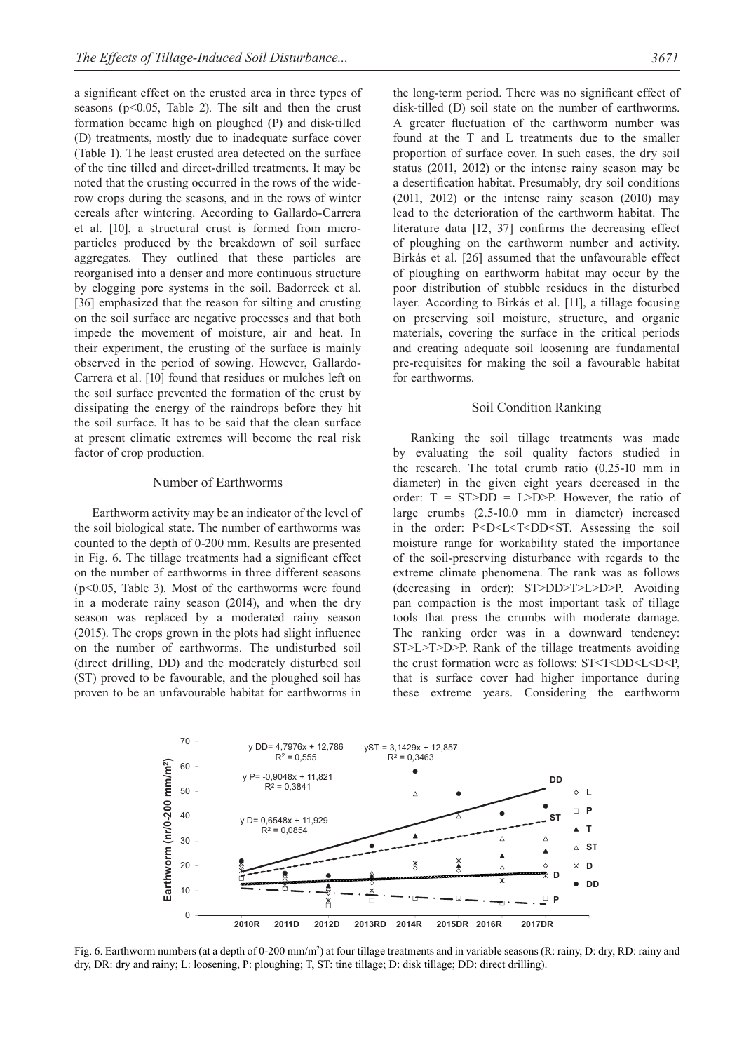a significant effect on the crusted area in three types of seasons ( $p<0.05$ , Table 2). The silt and then the crust formation became high on ploughed (P) and disk-tilled (D) treatments, mostly due to inadequate surface cover (Table 1). The least crusted area detected on the surface of the tine tilled and direct-drilled treatments. It may be noted that the crusting occurred in the rows of the widerow crops during the seasons, and in the rows of winter cereals after wintering. According to Gallardo-Carrera et al. [10], a structural crust is formed from microparticles produced by the breakdown of soil surface aggregates. They outlined that these particles are reorganised into a denser and more continuous structure by clogging pore systems in the soil. Badorreck et al. [36] emphasized that the reason for silting and crusting on the soil surface are negative processes and that both impede the movement of moisture, air and heat. In their experiment, the crusting of the surface is mainly observed in the period of sowing. However, Gallardo-Carrera et al. [10] found that residues or mulches left on the soil surface prevented the formation of the crust by dissipating the energy of the raindrops before they hit the soil surface. It has to be said that the clean surface at present climatic extremes will become the real risk factor of crop production.

### Number of Earthworms

Earthworm activity may be an indicator of the level of the soil biological state. The number of earthworms was counted to the depth of 0-200 mm. Results are presented in Fig. 6. The tillage treatments had a significant effect on the number of earthworms in three different seasons (p<0.05, Table 3). Most of the earthworms were found in a moderate rainy season (2014), and when the dry season was replaced by a moderated rainy season (2015). The crops grown in the plots had slight influence on the number of earthworms. The undisturbed soil (direct drilling, DD) and the moderately disturbed soil (ST) proved to be favourable, and the ploughed soil has proven to be an unfavourable habitat for earthworms in

the long-term period. There was no significant effect of disk-tilled (D) soil state on the number of earthworms. A greater fluctuation of the earthworm number was found at the T and L treatments due to the smaller proportion of surface cover. In such cases, the dry soil status (2011, 2012) or the intense rainy season may be a desertification habitat. Presumably, dry soil conditions (2011, 2012) or the intense rainy season (2010) may lead to the deterioration of the earthworm habitat. The literature data [12, 37] confirms the decreasing effect of ploughing on the earthworm number and activity. Birkás et al. [26] assumed that the unfavourable effect of ploughing on earthworm habitat may occur by the poor distribution of stubble residues in the disturbed layer. According to Birkás et al. [11], a tillage focusing on preserving soil moisture, structure, and organic materials, covering the surface in the critical periods and creating adequate soil loosening are fundamental pre-requisites for making the soil a favourable habitat for earthworms.

#### Soil Condition Ranking

Ranking the soil tillage treatments was made by evaluating the soil quality factors studied in the research. The total crumb ratio (0.25-10 mm in diameter) in the given eight years decreased in the order:  $T = ST>DD = L>D>P$ . However, the ratio of large crumbs (2.5-10.0 mm in diameter) increased in the order: P<D<L<T<DD<ST. Assessing the soil moisture range for workability stated the importance of the soil-preserving disturbance with regards to the extreme climate phenomena. The rank was as follows (decreasing in order): ST>DD>T>L>D>P. Avoiding pan compaction is the most important task of tillage tools that press the crumbs with moderate damage. The ranking order was in a downward tendency: ST>L>T>D>P. Rank of the tillage treatments avoiding the crust formation were as follows: ST<T<DD<L<D<P, that is surface cover had higher importance during these extreme years. Considering the earthworm



Fig. 6. Earthworm numbers (at a depth of 0-200 mm/m<sup>2</sup>) at four tillage treatments and in variable seasons (R: rainy, D: dry, RD: rainy and dry, DR: dry and rainy; L: loosening, P: ploughing; T, ST: tine tillage; D: disk tillage; DD: direct drilling).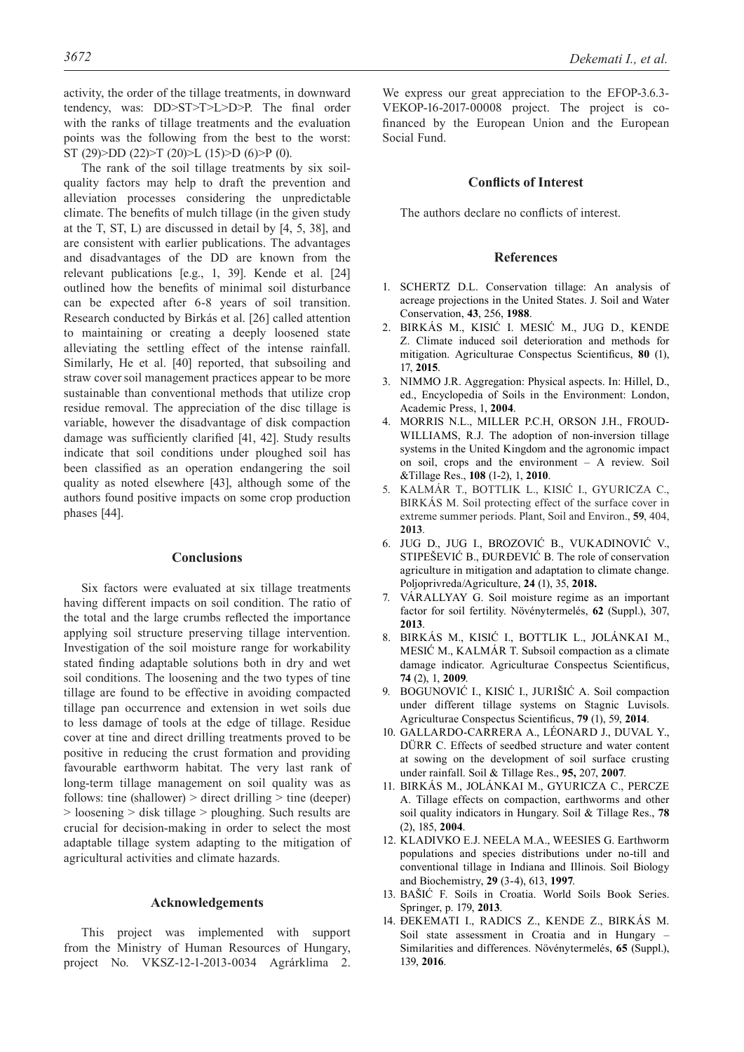activity, the order of the tillage treatments, in downward tendency, was: DD>ST>T>L>D>P. The final order with the ranks of tillage treatments and the evaluation points was the following from the best to the worst: ST (29)>DD (22)>T (20)>L (15)>D (6)>P (0).

The rank of the soil tillage treatments by six soilquality factors may help to draft the prevention and alleviation processes considering the unpredictable climate. The benefits of mulch tillage (in the given study at the T, ST, L) are discussed in detail by [4, 5, 38], and are consistent with earlier publications. The advantages and disadvantages of the DD are known from the relevant publications [e.g., 1, 39]. Kende et al. [24] outlined how the benefits of minimal soil disturbance can be expected after 6-8 years of soil transition. Research conducted by Birkás et al. [26] called attention to maintaining or creating a deeply loosened state alleviating the settling effect of the intense rainfall. Similarly, He et al. [40] reported, that subsoiling and straw cover soil management practices appear to be more sustainable than conventional methods that utilize crop residue removal. The appreciation of the disc tillage is variable, however the disadvantage of disk compaction damage was sufficiently clarified [41, 42]. Study results indicate that soil conditions under ploughed soil has been classified as an operation endangering the soil quality as noted elsewhere [43], although some of the authors found positive impacts on some crop production phases [44].

# **Conclusions**

Six factors were evaluated at six tillage treatments having different impacts on soil condition. The ratio of the total and the large crumbs reflected the importance applying soil structure preserving tillage intervention. Investigation of the soil moisture range for workability stated finding adaptable solutions both in dry and wet soil conditions. The loosening and the two types of tine tillage are found to be effective in avoiding compacted tillage pan occurrence and extension in wet soils due to less damage of tools at the edge of tillage. Residue cover at tine and direct drilling treatments proved to be positive in reducing the crust formation and providing favourable earthworm habitat. The very last rank of long-term tillage management on soil quality was as follows: tine (shallower) > direct drilling > tine (deeper) > loosening > disk tillage > ploughing. Such results are crucial for decision-making in order to select the most adaptable tillage system adapting to the mitigation of agricultural activities and climate hazards.

# **Acknowledgements**

This project was implemented with support from the Ministry of Human Resources of Hungary, project No. VKSZ-12-1-2013-0034 Agrárklima 2.

We express our great appreciation to the EFOP-3.6.3- VEKOP-16-2017-00008 project. The project is cofinanced by the European Union and the European Social Fund.

# **Conflicts of Interest**

The authors declare no conflicts of interest.

# **References**

- 1. SCHERTZ D.L. Conservation tillage: An analysis of acreage projections in the United States. J. Soil and Water Conservation, **43**, 256, **1988**.
- 2. BIRKÁS M., KISIĆ I. MESIĆ M., JUG D., KENDE Z. Climate induced soil deterioration and methods for mitigation. Agriculturae Conspectus Scientificus, **80** (1), 17, **2015**.
- 3. NIMMO J.R. Aggregation: Physical aspects. In: Hillel, D., ed., Encyclopedia of Soils in the Environment: London, Academic Press, 1, **2004**.
- 4. MORRIS N.L., MILLER P.C.H, ORSON J.H., FROUD-WILLIAMS, R.J. The adoption of non-inversion tillage systems in the United Kingdom and the agronomic impact on soil, crops and the environment – A review. Soil &Tillage Res., **108** (1-2), 1, **2010**.
- 5. KALMÁR T., BOTTLIK L., KISIĆ I., GYURICZA C., BIRKÁS M. Soil protecting effect of the surface cover in extreme summer periods. Plant, Soil and Environ., **59**, 404, **2013**.
- 6. JUG D., JUG I., BROZOVIĆ B., VUKADINOVIĆ V., STIPEŠEVIĆ B., ĐURĐEVIĆ B. The role of conservation agriculture in mitigation and adaptation to climate change. Poljoprivreda/Agriculture, **24** (1), 35, **2018.**
- 7. VÁRALLYAY G. Soil moisture regime as an important factor for soil fertility. Növénytermelés, **62** (Suppl.), 307, **2013**.
- 8. BIRKÁS M., KISIĆ I., BOTTLIK L., JOLÁNKAI M., MESIĆ M., KALMÁR T. Subsoil compaction as a climate damage indicator. Agriculturae Conspectus Scientificus, **74** (2), 1, **2009**.
- 9. BOGUNOVIĆ I., KISIĆ I., JURIŠIĆ A. Soil compaction under different tillage systems on Stagnic Luvisols. Agriculturae Conspectus Scientificus, **79** (1), 59, **2014**.
- 10. GALLARDO-CARRERA A., LÉONARD J., DUVAL Y., DÜRR C. Effects of seedbed structure and water content at sowing on the development of soil surface crusting under rainfall. Soil & Tillage Res., **95,** 207, **2007**.
- 11. BIRKÁS M., JOLÁNKAI M., GYURICZA C., PERCZE A. Tillage effects on compaction, earthworms and other soil quality indicators in Hungary. Soil & Tillage Res., **78** (2), 185, **2004**.
- 12. KLADIVKO E.J. NEELA M.A., WEESIES G. Earthworm populations and species distributions under no-till and conventional tillage in Indiana and Illinois. Soil Biology and Biochemistry, **29** (3-4), 613, **1997**.
- 13. BAŠIĆ F. Soils in Croatia. World Soils Book Series. Springer, p. 179, **2013**.
- 14. ÐEKEMATI I., RADICS Z., KENDE Z., BIRKÁS M. Soil state assessment in Croatia and in Hungary – Similarities and differences. Növénytermelés, **65** (Suppl.), 139, **2016**.